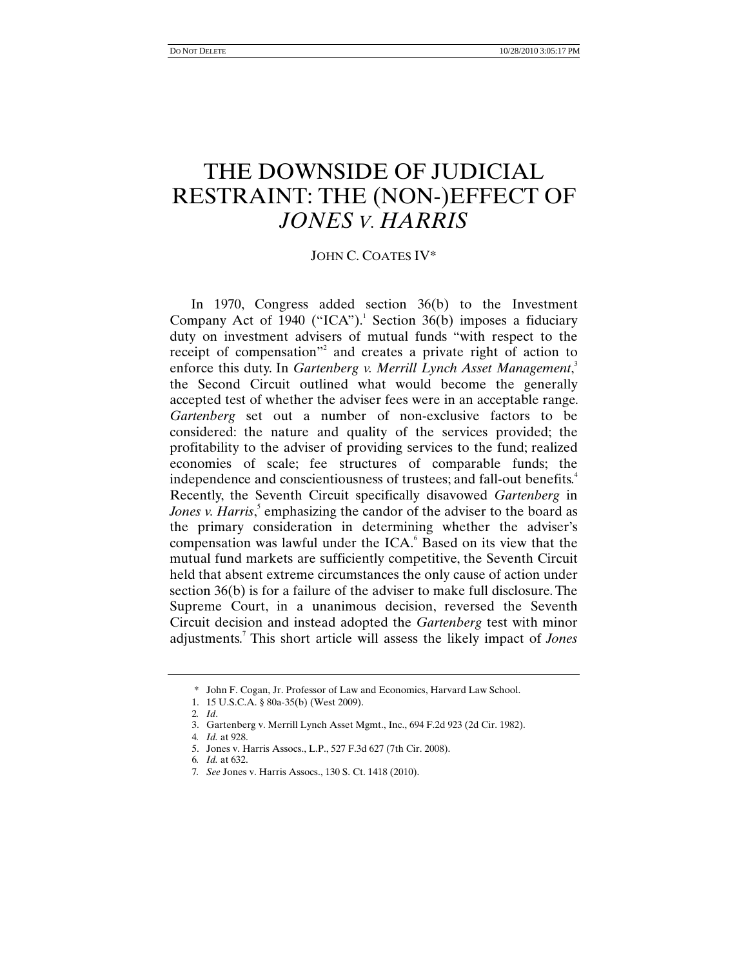# THE DOWNSIDE OF JUDICIAL RESTRAINT: THE (NON-)EFFECT OF *JONES V. HARRIS*

### JOHN C. COATES IV\*

In 1970, Congress added section 36(b) to the Investment Company Act of 1940 ("ICA").<sup>1</sup> Section 36(b) imposes a fiduciary duty on investment advisers of mutual funds "with respect to the receipt of compensation"<sup>2</sup> and creates a private right of action to enforce this duty. In *Gartenberg v. Merrill Lynch Asset Management*, 3 the Second Circuit outlined what would become the generally accepted test of whether the adviser fees were in an acceptable range. *Gartenberg* set out a number of non-exclusive factors to be considered: the nature and quality of the services provided; the profitability to the adviser of providing services to the fund; realized economies of scale; fee structures of comparable funds; the independence and conscientiousness of trustees; and fall-out benefits.<sup>4</sup> Recently, the Seventh Circuit specifically disavowed *Gartenberg* in Jones v. Harris,<sup>5</sup> emphasizing the candor of the adviser to the board as the primary consideration in determining whether the adviser's compensation was lawful under the  $ICA<sup>6</sup>$  Based on its view that the mutual fund markets are sufficiently competitive, the Seventh Circuit held that absent extreme circumstances the only cause of action under section 36(b) is for a failure of the adviser to make full disclosure. The Supreme Court, in a unanimous decision, reversed the Seventh Circuit decision and instead adopted the *Gartenberg* test with minor adjustments.<sup>7</sup> This short article will assess the likely impact of *Jones*

 <sup>\*</sup> John F. Cogan, Jr. Professor of Law and Economics, Harvard Law School.

 <sup>1. 15</sup> U.S.C.A. § 80a-35(b) (West 2009).

<sup>2</sup>*. Id*.

 <sup>3.</sup> Gartenberg v. Merrill Lynch Asset Mgmt., Inc., 694 F.2d 923 (2d Cir. 1982).

<sup>4</sup>*. Id.* at 928.

 <sup>5.</sup> Jones v. Harris Assocs., L.P., 527 F.3d 627 (7th Cir. 2008).

<sup>6</sup>*. Id.* at 632.

<sup>7</sup>*. See* Jones v. Harris Assocs., 130 S. Ct. 1418 (2010).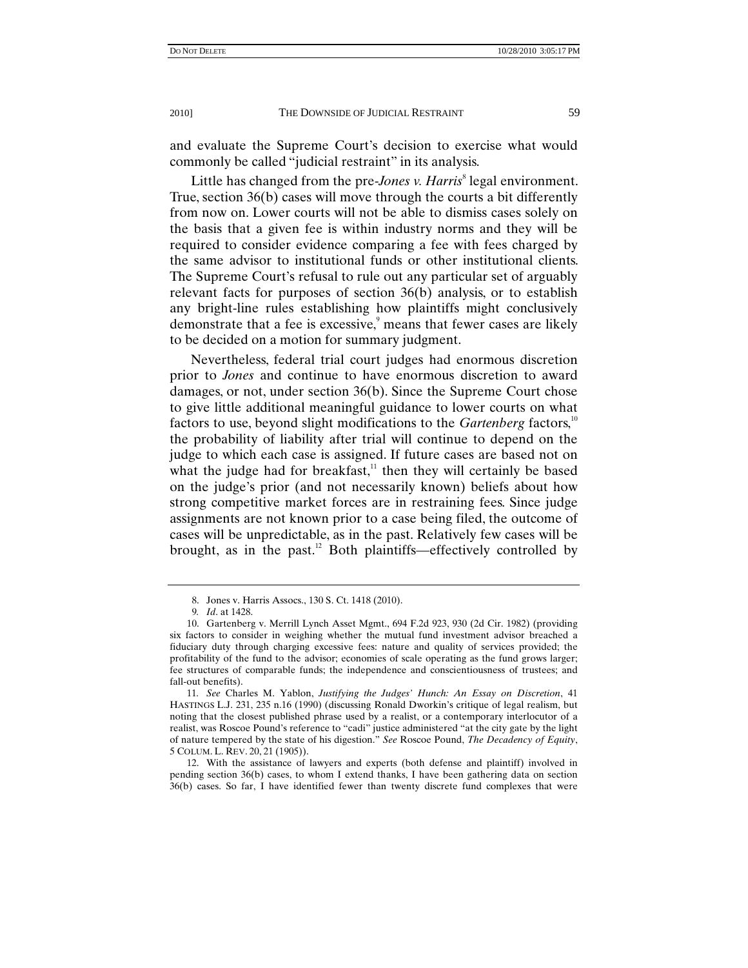and evaluate the Supreme Court's decision to exercise what would commonly be called "judicial restraint" in its analysis.

Little has changed from the pre-*Jones v. Harris*<sup>8</sup> legal environment. True, section 36(b) cases will move through the courts a bit differently from now on. Lower courts will not be able to dismiss cases solely on the basis that a given fee is within industry norms and they will be required to consider evidence comparing a fee with fees charged by the same advisor to institutional funds or other institutional clients. The Supreme Court's refusal to rule out any particular set of arguably relevant facts for purposes of section 36(b) analysis, or to establish any bright-line rules establishing how plaintiffs might conclusively demonstrate that a fee is excessive, means that fewer cases are likely to be decided on a motion for summary judgment.

Nevertheless, federal trial court judges had enormous discretion prior to *Jones* and continue to have enormous discretion to award damages, or not, under section 36(b). Since the Supreme Court chose to give little additional meaningful guidance to lower courts on what factors to use, beyond slight modifications to the *Gartenberg* factors,<sup>10</sup> the probability of liability after trial will continue to depend on the judge to which each case is assigned. If future cases are based not on what the judge had for breakfast, $11$  then they will certainly be based on the judge's prior (and not necessarily known) beliefs about how strong competitive market forces are in restraining fees. Since judge assignments are not known prior to a case being filed, the outcome of cases will be unpredictable, as in the past. Relatively few cases will be brought, as in the past. $12$  Both plaintiffs—effectively controlled by

 <sup>8.</sup> Jones v. Harris Assocs., 130 S. Ct. 1418 (2010).

<sup>9</sup>*. Id*. at 1428.

 <sup>10.</sup> Gartenberg v. Merrill Lynch Asset Mgmt., 694 F.2d 923, 930 (2d Cir. 1982) (providing six factors to consider in weighing whether the mutual fund investment advisor breached a fiduciary duty through charging excessive fees: nature and quality of services provided; the profitability of the fund to the advisor; economies of scale operating as the fund grows larger; fee structures of comparable funds; the independence and conscientiousness of trustees; and fall-out benefits).

<sup>11</sup>*. See* Charles M. Yablon, *Justifying the Judges' Hunch: An Essay on Discretion*, 41 HASTINGS L.J. 231, 235 n.16 (1990) (discussing Ronald Dworkin's critique of legal realism, but noting that the closest published phrase used by a realist, or a contemporary interlocutor of a realist, was Roscoe Pound's reference to "cadi" justice administered "at the city gate by the light of nature tempered by the state of his digestion." *See* Roscoe Pound, *The Decadency of Equity*, 5 COLUM. L. REV. 20, 21 (1905)).

 <sup>12.</sup> With the assistance of lawyers and experts (both defense and plaintiff) involved in pending section 36(b) cases, to whom I extend thanks, I have been gathering data on section 36(b) cases. So far, I have identified fewer than twenty discrete fund complexes that were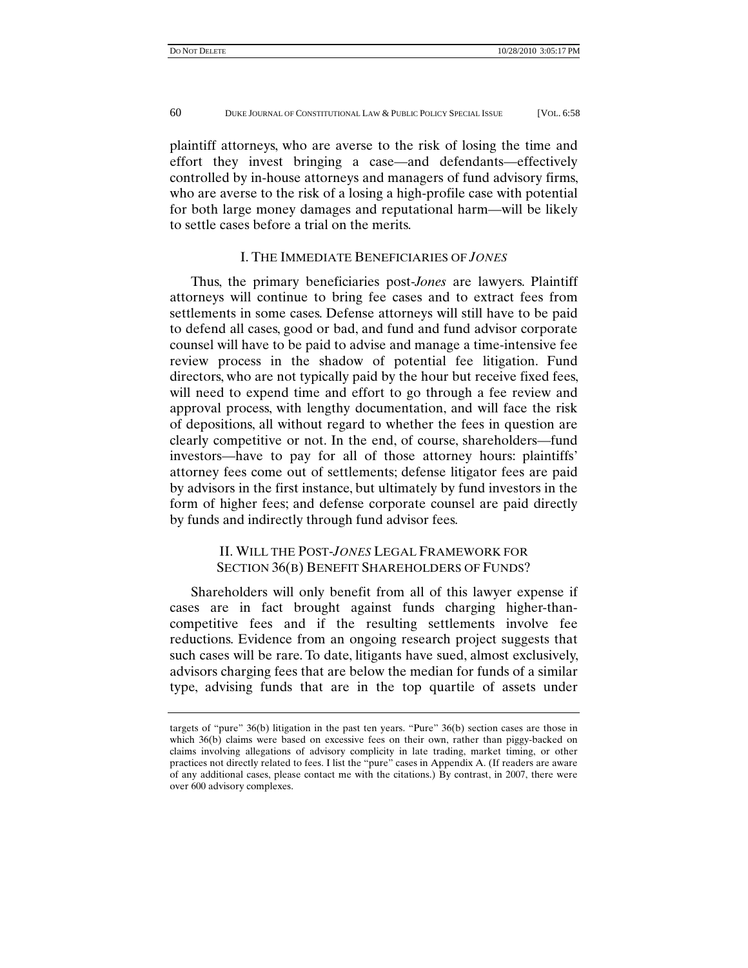plaintiff attorneys, who are averse to the risk of losing the time and effort they invest bringing a case—and defendants—effectively controlled by in-house attorneys and managers of fund advisory firms, who are averse to the risk of a losing a high-profile case with potential for both large money damages and reputational harm—will be likely to settle cases before a trial on the merits.

#### I. THE IMMEDIATE BENEFICIARIES OF *JONES*

Thus, the primary beneficiaries post-*Jones* are lawyers. Plaintiff attorneys will continue to bring fee cases and to extract fees from settlements in some cases. Defense attorneys will still have to be paid to defend all cases, good or bad, and fund and fund advisor corporate counsel will have to be paid to advise and manage a time-intensive fee review process in the shadow of potential fee litigation. Fund directors, who are not typically paid by the hour but receive fixed fees, will need to expend time and effort to go through a fee review and approval process, with lengthy documentation, and will face the risk of depositions, all without regard to whether the fees in question are clearly competitive or not. In the end, of course, shareholders—fund investors—have to pay for all of those attorney hours: plaintiffs' attorney fees come out of settlements; defense litigator fees are paid by advisors in the first instance, but ultimately by fund investors in the form of higher fees; and defense corporate counsel are paid directly by funds and indirectly through fund advisor fees.

## II. WILL THE POST-*JONES* LEGAL FRAMEWORK FOR SECTION 36(B) BENEFIT SHAREHOLDERS OF FUNDS?

Shareholders will only benefit from all of this lawyer expense if cases are in fact brought against funds charging higher-thancompetitive fees and if the resulting settlements involve fee reductions. Evidence from an ongoing research project suggests that such cases will be rare. To date, litigants have sued, almost exclusively, advisors charging fees that are below the median for funds of a similar type, advising funds that are in the top quartile of assets under

targets of "pure" 36(b) litigation in the past ten years. "Pure" 36(b) section cases are those in which 36(b) claims were based on excessive fees on their own, rather than piggy-backed on claims involving allegations of advisory complicity in late trading, market timing, or other practices not directly related to fees. I list the "pure" cases in Appendix A. (If readers are aware of any additional cases, please contact me with the citations.) By contrast, in 2007, there were over 600 advisory complexes.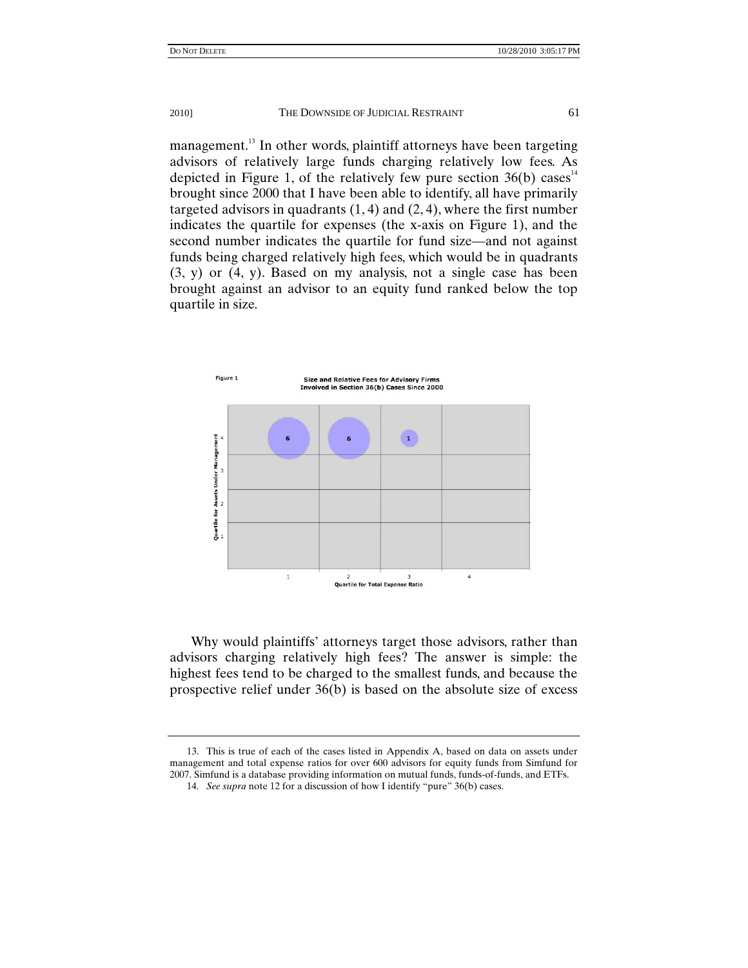management.<sup>13</sup> In other words, plaintiff attorneys have been targeting advisors of relatively large funds charging relatively low fees. As depicted in Figure 1, of the relatively few pure section  $36(b)$  cases<sup>14</sup> brought since 2000 that I have been able to identify, all have primarily targeted advisors in quadrants  $(1, 4)$  and  $(2, 4)$ , where the first number indicates the quartile for expenses (the x-axis on Figure 1), and the second number indicates the quartile for fund size—and not against funds being charged relatively high fees, which would be in quadrants (3, y) or (4, y). Based on my analysis, not a single case has been brought against an advisor to an equity fund ranked below the top quartile in size.



Why would plaintiffs' attorneys target those advisors, rather than advisors charging relatively high fees? The answer is simple: the highest fees tend to be charged to the smallest funds, and because the prospective relief under 36(b) is based on the absolute size of excess

 <sup>13.</sup> This is true of each of the cases listed in Appendix A, based on data on assets under management and total expense ratios for over 600 advisors for equity funds from Simfund for 2007. Simfund is a database providing information on mutual funds, funds-of-funds, and ETFs.

<sup>14</sup>*. See supra* note 12 for a discussion of how I identify "pure" 36(b) cases.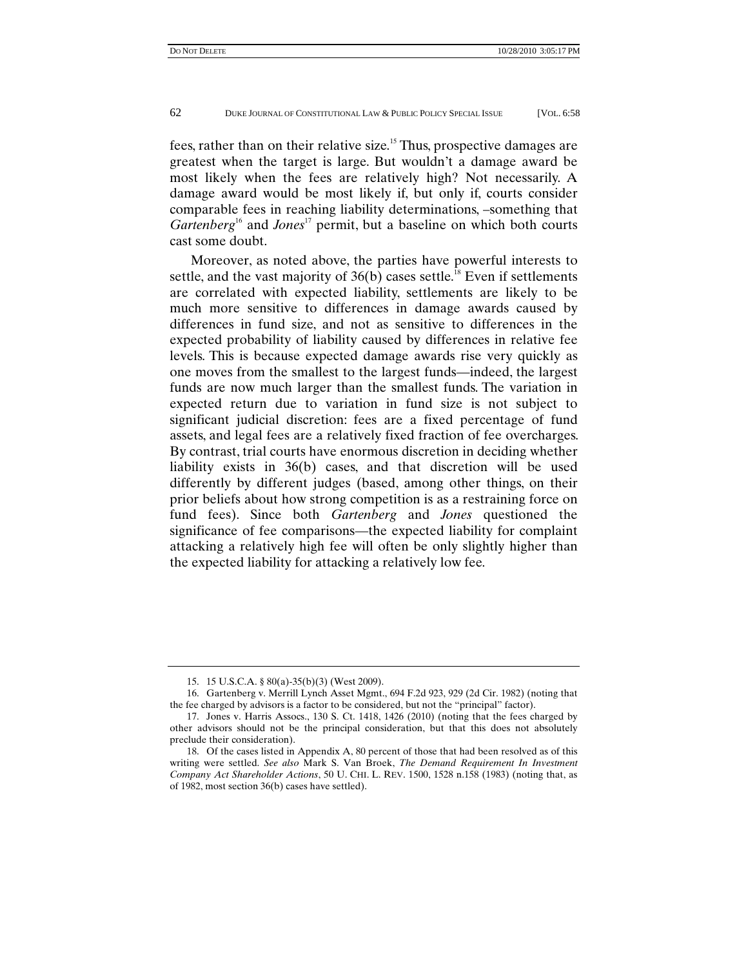fees, rather than on their relative size.<sup>15</sup> Thus, prospective damages are greatest when the target is large. But wouldn't a damage award be most likely when the fees are relatively high? Not necessarily. A damage award would be most likely if, but only if, courts consider comparable fees in reaching liability determinations, –something that *Gartenberg*<sup>16</sup> and *Jones*<sup>17</sup> permit, but a baseline on which both courts cast some doubt.

Moreover, as noted above, the parties have powerful interests to settle, and the vast majority of  $36(b)$  cases settle.<sup>18</sup> Even if settlements are correlated with expected liability, settlements are likely to be much more sensitive to differences in damage awards caused by differences in fund size, and not as sensitive to differences in the expected probability of liability caused by differences in relative fee levels. This is because expected damage awards rise very quickly as one moves from the smallest to the largest funds—indeed, the largest funds are now much larger than the smallest funds. The variation in expected return due to variation in fund size is not subject to significant judicial discretion: fees are a fixed percentage of fund assets, and legal fees are a relatively fixed fraction of fee overcharges. By contrast, trial courts have enormous discretion in deciding whether liability exists in 36(b) cases, and that discretion will be used differently by different judges (based, among other things, on their prior beliefs about how strong competition is as a restraining force on fund fees). Since both *Gartenberg* and *Jones* questioned the significance of fee comparisons—the expected liability for complaint attacking a relatively high fee will often be only slightly higher than the expected liability for attacking a relatively low fee.

 <sup>15. 15</sup> U.S.C.A. § 80(a)-35(b)(3) (West 2009).

 <sup>16.</sup> Gartenberg v. Merrill Lynch Asset Mgmt., 694 F.2d 923, 929 (2d Cir. 1982) (noting that the fee charged by advisors is a factor to be considered, but not the "principal" factor).

 <sup>17.</sup> Jones v. Harris Assocs., 130 S. Ct. 1418, 1426 (2010) (noting that the fees charged by other advisors should not be the principal consideration, but that this does not absolutely preclude their consideration).

 <sup>18.</sup> Of the cases listed in Appendix A, 80 percent of those that had been resolved as of this writing were settled. *See also* Mark S. Van Broek, *The Demand Requirement In Investment Company Act Shareholder Actions*, 50 U. CHI. L. REV. 1500, 1528 n.158 (1983) (noting that, as of 1982, most section 36(b) cases have settled).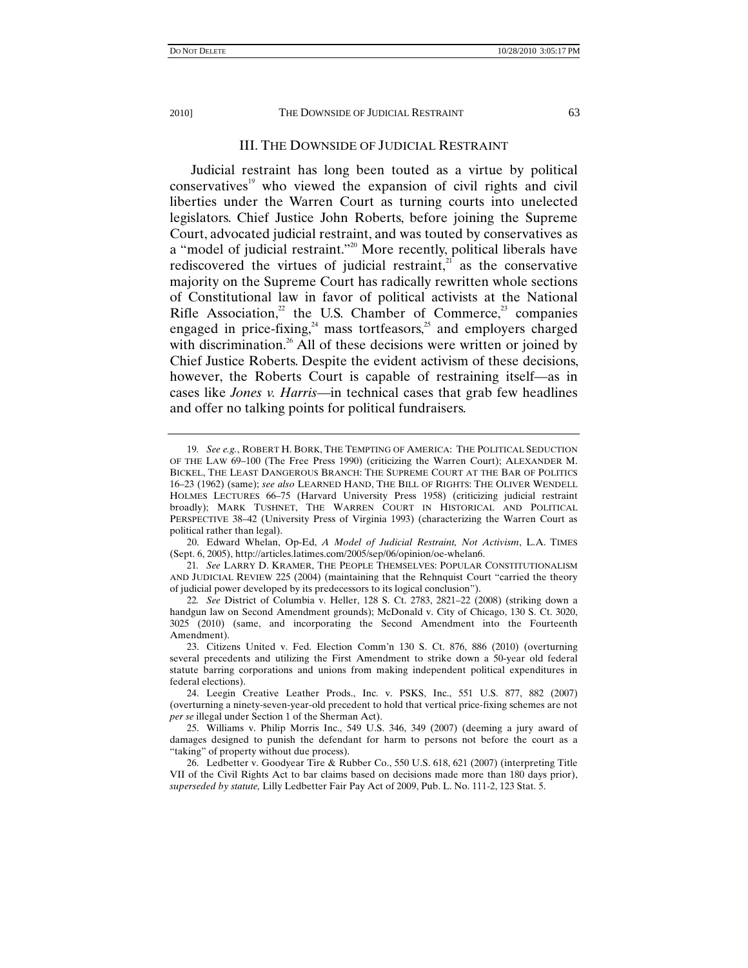#### III. THE DOWNSIDE OF JUDICIAL RESTRAINT

Judicial restraint has long been touted as a virtue by political  $conservative<sup>19</sup>$  who viewed the expansion of civil rights and civil liberties under the Warren Court as turning courts into unelected legislators. Chief Justice John Roberts, before joining the Supreme Court, advocated judicial restraint, and was touted by conservatives as a "model of judicial restraint."<sup>20</sup> More recently, political liberals have rediscovered the virtues of judicial restraint, $2\pi$  as the conservative majority on the Supreme Court has radically rewritten whole sections of Constitutional law in favor of political activists at the National Rifle Association, $2^2$  the U.S. Chamber of Commerce, $2^3$  companies engaged in price-fixing,<sup>24</sup> mass tortfeasors,<sup>25</sup> and employers charged with discrimination.<sup>26</sup> All of these decisions were written or joined by Chief Justice Roberts. Despite the evident activism of these decisions, however, the Roberts Court is capable of restraining itself—as in cases like *Jones v. Harris*—in technical cases that grab few headlines and offer no talking points for political fundraisers.

<sup>19</sup>*. See e.g.*, ROBERT H. BORK, THE TEMPTING OF AMERICA: THE POLITICAL SEDUCTION OF THE LAW 69–100 (The Free Press 1990) (criticizing the Warren Court); ALEXANDER M. BICKEL, THE LEAST DANGEROUS BRANCH: THE SUPREME COURT AT THE BAR OF POLITICS 16–23 (1962) (same); *see also* LEARNED HAND, THE BILL OF RIGHTS: THE OLIVER WENDELL HOLMES LECTURES 66–75 (Harvard University Press 1958) (criticizing judicial restraint broadly); MARK TUSHNET, THE WARREN COURT IN HISTORICAL AND POLITICAL PERSPECTIVE 38–42 (University Press of Virginia 1993) (characterizing the Warren Court as political rather than legal).

 <sup>20.</sup> Edward Whelan, Op-Ed, *A Model of Judicial Restraint, Not Activism*, L.A. TIMES (Sept. 6, 2005), http://articles.latimes.com/2005/sep/06/opinion/oe-whelan6.

<sup>21</sup>*. See* LARRY D. KRAMER, THE PEOPLE THEMSELVES: POPULAR CONSTITUTIONALISM AND JUDICIAL REVIEW 225 (2004) (maintaining that the Rehnquist Court "carried the theory of judicial power developed by its predecessors to its logical conclusion").

<sup>22</sup>*. See* District of Columbia v. Heller, 128 S. Ct. 2783, 2821–22 (2008) (striking down a handgun law on Second Amendment grounds); McDonald v. City of Chicago, 130 S. Ct. 3020, 3025 (2010) (same, and incorporating the Second Amendment into the Fourteenth Amendment).

 <sup>23.</sup> Citizens United v. Fed. Election Comm'n 130 S. Ct. 876, 886 (2010) (overturning several precedents and utilizing the First Amendment to strike down a 50-year old federal statute barring corporations and unions from making independent political expenditures in federal elections).

 <sup>24.</sup> Leegin Creative Leather Prods., Inc. v. PSKS, Inc., 551 U.S. 877, 882 (2007) (overturning a ninety-seven-year-old precedent to hold that vertical price-fixing schemes are not *per se* illegal under Section 1 of the Sherman Act).

 <sup>25.</sup> Williams v. Philip Morris Inc., 549 U.S. 346, 349 (2007) (deeming a jury award of damages designed to punish the defendant for harm to persons not before the court as a "taking" of property without due process).

 <sup>26.</sup> Ledbetter v. Goodyear Tire & Rubber Co., 550 U.S. 618, 621 (2007) (interpreting Title VII of the Civil Rights Act to bar claims based on decisions made more than 180 days prior), *superseded by statute,* Lilly Ledbetter Fair Pay Act of 2009, Pub. L. No. 111-2, 123 Stat. 5.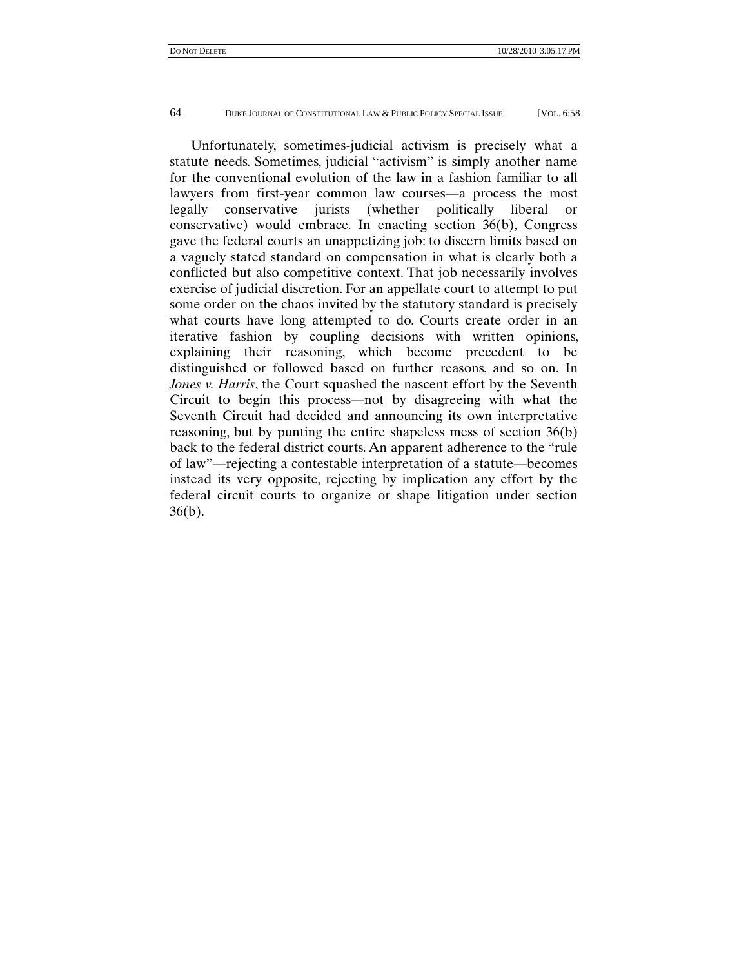Unfortunately, sometimes-judicial activism is precisely what a statute needs. Sometimes, judicial "activism" is simply another name for the conventional evolution of the law in a fashion familiar to all lawyers from first-year common law courses—a process the most legally conservative jurists (whether politically liberal or conservative) would embrace. In enacting section 36(b), Congress gave the federal courts an unappetizing job: to discern limits based on a vaguely stated standard on compensation in what is clearly both a conflicted but also competitive context. That job necessarily involves exercise of judicial discretion. For an appellate court to attempt to put some order on the chaos invited by the statutory standard is precisely what courts have long attempted to do. Courts create order in an iterative fashion by coupling decisions with written opinions, explaining their reasoning, which become precedent to be distinguished or followed based on further reasons, and so on. In *Jones v. Harris*, the Court squashed the nascent effort by the Seventh Circuit to begin this process—not by disagreeing with what the Seventh Circuit had decided and announcing its own interpretative reasoning, but by punting the entire shapeless mess of section 36(b) back to the federal district courts. An apparent adherence to the "rule of law"—rejecting a contestable interpretation of a statute—becomes instead its very opposite, rejecting by implication any effort by the federal circuit courts to organize or shape litigation under section 36(b).